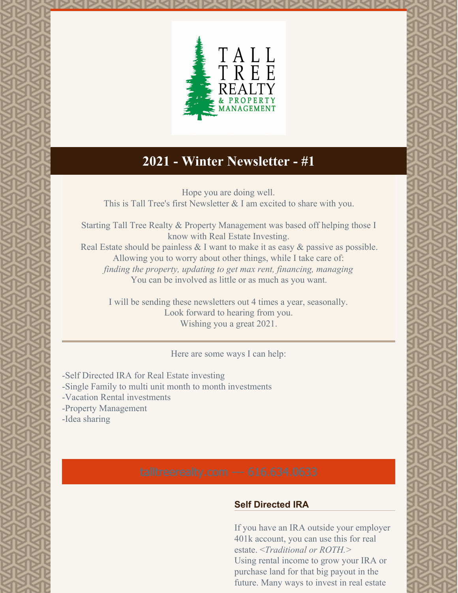

# **2021 - Winter Newsletter - #1**

Hope you are doing well. This is Tall Tree's first Newsletter & I am excited to share with you.

Starting Tall Tree Realty & Property Management was based off helping those I know with Real Estate Investing.

Real Estate should be painless & I want to make it as easy & passive as possible. Allowing you to worry about other things, while I take care of: *finding the property, updating to get max rent, financing, managing* You can be involved as little or as much as you want.

I will be sending these newsletters out 4 times a year, seasonally. Look forward to hearing from you. Wishing you a great 2021.

Here are some ways I can help:

-Self Directed IRA for Real Estate investing

- -Single Family to multi unit month to month investments
- -Vacation Rental investments
- -Property Management
- -Idea sharing

#### **Self Directed IRA**

If you have an IRA outside your employer 401k account, you can use this for real estate. <*Traditional or ROTH.>* Using rental income to grow your IRA or purchase land for that big payout in the future. Many ways to invest in real estate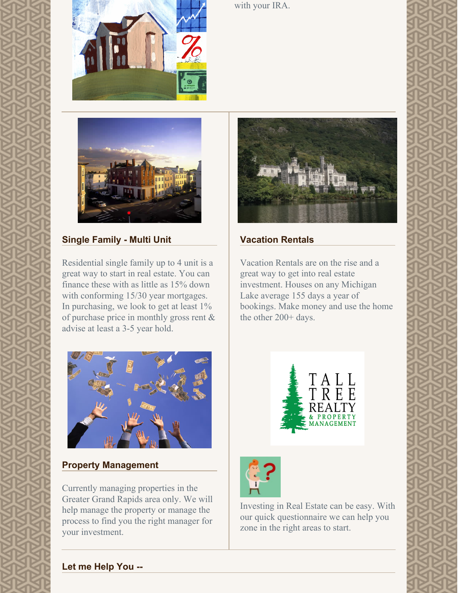



with your IRA.



# **Single Family - Multi Unit**

Residential single family up to 4 unit is a great way to start in real estate. You can finance these with as little as 15% down with conforming 15/30 year mortgages. In purchasing, we look to get at least 1% of purchase price in monthly gross rent & advise at least a 3-5 year hold.



#### **Property Management**

Currently managing properties in the Greater Grand Rapids area only. We will help manage the property or manage the process to find you the right manager for your investment.



### **Vacation Rentals**

Vacation Rentals are on the rise and a great way to get into real estate investment. Houses on any Michigan Lake average 155 days a year of bookings. Make money and use the home the other 200+ days.





Investing in Real Estate can be easy. With our quick questionnaire we can help you zone in the right areas to start.

# **Let me Help You --**